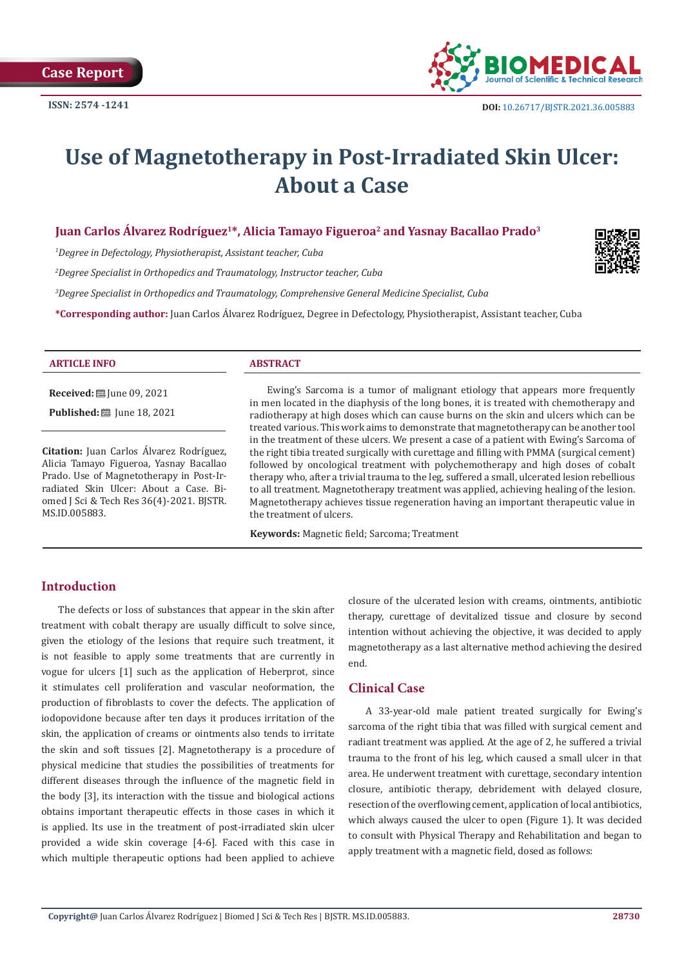

# **Use of Magnetotherapy in Post-Irradiated Skin Ulcer: About a Case**

# **Juan Carlos Álvarez Rodríguez1\*, Alicia Tamayo Figueroa2 and Yasnay Bacallao Prado3**

*1 Degree in Defectology, Physiotherapist, Assistant teacher, Cuba*

*2 Degree Specialist in Orthopedics and Traumatology, Instructor teacher, Cuba*

*3 Degree Specialist in Orthopedics and Traumatology, Comprehensive General Medicine Specialist, Cuba*

**\*Corresponding author:** Juan Carlos Álvarez Rodríguez, Degree in Defectology, Physiotherapist, Assistant teacher, Cuba



#### **ARTICLE INFO ABSTRACT**

**Received:** ■ June 09, 2021

**Published:** ■ June 18, 2021

**Citation:** Juan Carlos Álvarez Rodríguez, Alicia Tamayo Figueroa, Yasnay Bacallao Prado. Use of Magnetotherapy in Post-Irradiated Skin Ulcer: About a Case. Biomed J Sci & Tech Res 36(4)-2021. BJSTR. MS.ID.005883.

Ewing's Sarcoma is a tumor of malignant etiology that appears more frequently in men located in the diaphysis of the long bones, it is treated with chemotherapy and radiotherapy at high doses which can cause burns on the skin and ulcers which can be treated various. This work aims to demonstrate that magnetotherapy can be another tool in the treatment of these ulcers. We present a case of a patient with Ewing's Sarcoma of the right tibia treated surgically with curettage and filling with PMMA (surgical cement) followed by oncological treatment with polychemotherapy and high doses of cobalt therapy who, after a trivial trauma to the leg, suffered a small, ulcerated lesion rebellious to all treatment. Magnetotherapy treatment was applied, achieving healing of the lesion. Magnetotherapy achieves tissue regeneration having an important therapeutic value in the treatment of ulcers.

**Keywords:** Magnetic field; Sarcoma; Treatment

# **Introduction**

The defects or loss of substances that appear in the skin after treatment with cobalt therapy are usually difficult to solve since, given the etiology of the lesions that require such treatment, it is not feasible to apply some treatments that are currently in vogue for ulcers [1] such as the application of Heberprot, since it stimulates cell proliferation and vascular neoformation, the production of fibroblasts to cover the defects. The application of iodopovidone because after ten days it produces irritation of the skin, the application of creams or ointments also tends to irritate the skin and soft tissues [2]. Magnetotherapy is a procedure of physical medicine that studies the possibilities of treatments for different diseases through the influence of the magnetic field in the body [3], its interaction with the tissue and biological actions obtains important therapeutic effects in those cases in which it is applied. Its use in the treatment of post-irradiated skin ulcer provided a wide skin coverage [4-6]. Faced with this case in which multiple therapeutic options had been applied to achieve

closure of the ulcerated lesion with creams, ointments, antibiotic therapy, curettage of devitalized tissue and closure by second intention without achieving the objective, it was decided to apply magnetotherapy as a last alternative method achieving the desired end.

# **Clinical Case**

A 33-year-old male patient treated surgically for Ewing's sarcoma of the right tibia that was filled with surgical cement and radiant treatment was applied. At the age of 2, he suffered a trivial trauma to the front of his leg, which caused a small ulcer in that area. He underwent treatment with curettage, secondary intention closure, antibiotic therapy, debridement with delayed closure, resection of the overflowing cement, application of local antibiotics, which always caused the ulcer to open (Figure 1). It was decided to consult with Physical Therapy and Rehabilitation and began to apply treatment with a magnetic field, dosed as follows: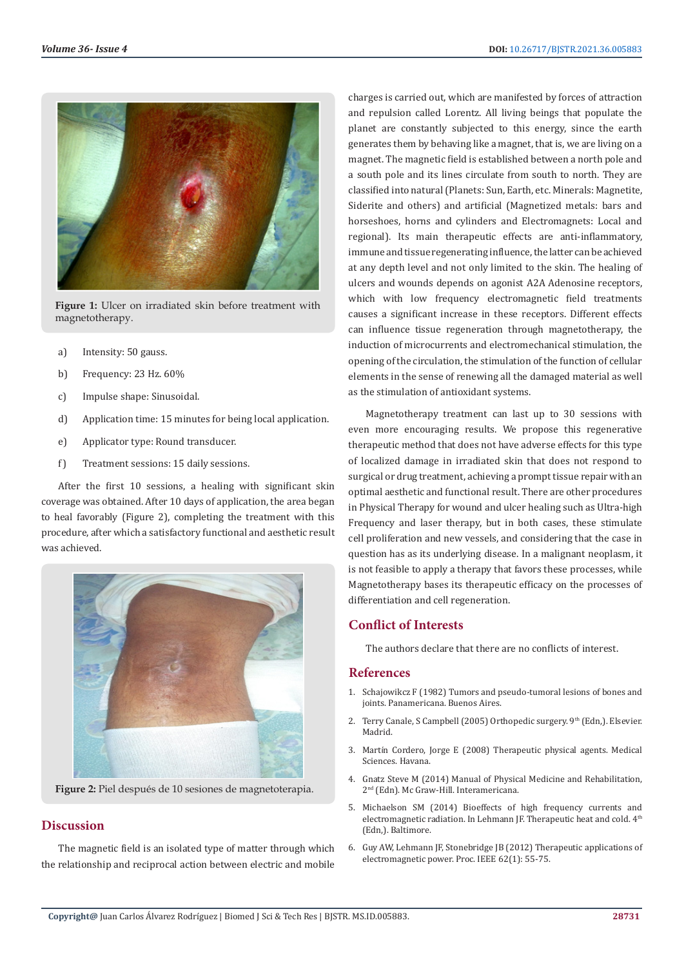

**Figure 1:** Ulcer on irradiated skin before treatment with magnetotherapy.

- a) Intensity: 50 gauss.
- b) Frequency: 23 Hz. 60%
- c) Impulse shape: Sinusoidal.
- d) Application time: 15 minutes for being local application.
- e) Applicator type: Round transducer.
- f) Treatment sessions: 15 daily sessions.

After the first 10 sessions, a healing with significant skin coverage was obtained. After 10 days of application, the area began to heal favorably (Figure 2), completing the treatment with this procedure, after which a satisfactory functional and aesthetic result was achieved.



**Figure 2:** Piel después de 10 sesiones de magnetoterapia.

### **Discussion**

The magnetic field is an isolated type of matter through which the relationship and reciprocal action between electric and mobile charges is carried out, which are manifested by forces of attraction and repulsion called Lorentz. All living beings that populate the planet are constantly subjected to this energy, since the earth generates them by behaving like a magnet, that is, we are living on a magnet. The magnetic field is established between a north pole and a south pole and its lines circulate from south to north. They are classified into natural (Planets: Sun, Earth, etc. Minerals: Magnetite, Siderite and others) and artificial (Magnetized metals: bars and horseshoes, horns and cylinders and Electromagnets: Local and regional). Its main therapeutic effects are anti-inflammatory, immune and tissue regenerating influence, the latter can be achieved at any depth level and not only limited to the skin. The healing of ulcers and wounds depends on agonist A2A Adenosine receptors, which with low frequency electromagnetic field treatments causes a significant increase in these receptors. Different effects can influence tissue regeneration through magnetotherapy, the induction of microcurrents and electromechanical stimulation, the opening of the circulation, the stimulation of the function of cellular elements in the sense of renewing all the damaged material as well as the stimulation of antioxidant systems.

Magnetotherapy treatment can last up to 30 sessions with even more encouraging results. We propose this regenerative therapeutic method that does not have adverse effects for this type of localized damage in irradiated skin that does not respond to surgical or drug treatment, achieving a prompt tissue repair with an optimal aesthetic and functional result. There are other procedures in Physical Therapy for wound and ulcer healing such as Ultra-high Frequency and laser therapy, but in both cases, these stimulate cell proliferation and new vessels, and considering that the case in question has as its underlying disease. In a malignant neoplasm, it is not feasible to apply a therapy that favors these processes, while Magnetotherapy bases its therapeutic efficacy on the processes of differentiation and cell regeneration.

## **Conflict of Interests**

The authors declare that there are no conflicts of interest.

#### **References**

- 1. Schajowikcz F (1982) Tumors and pseudo-tumoral lesions of bones and joints. Panamericana. Buenos Aires.
- 2. Terry Canale, S Campbell (2005) Orthopedic surgery. 9th (Edn,). Elsevier. Madrid.
- 3. Martín Cordero, Jorge E (2008) Therapeutic physical agents. Medical Sciences. Havana.
- 4. Gnatz Steve M (2014) Manual of Physical Medicine and Rehabilitation, 2nd (Edn). Mc Graw-Hill. Interamericana.
- 5. Michaelson SM (2014) Bioeffects of high frequency currents and electromagnetic radiation. In Lehmann JF. Therapeutic heat and cold. 4th (Edn,). Baltimore.
- 6. [Guy AW, Lehmann JF, Stonebridge JB \(2012\) Therapeutic applications of](https://ieeexplore.ieee.org/document/1451315) [electromagnetic power. Proc. IEEE 62\(1\): 55-75.](https://ieeexplore.ieee.org/document/1451315)